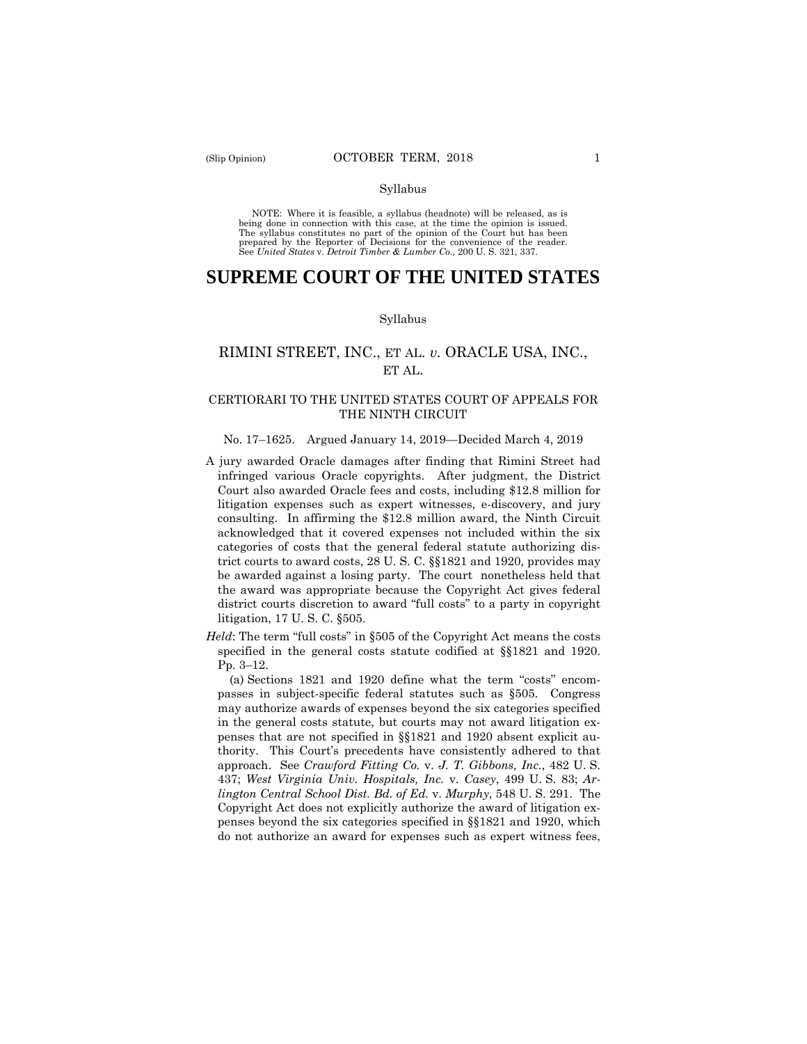#### Syllabus

 NOTE: Where it is feasible, a syllabus (headnote) will be released, as is being done in connection with this case, at the time the opinion is issued. The syllabus constitutes no part of the opinion of the Court but has been<br>prepared by the Reporter of Decisions for the convenience of the reader.<br>See United States v. Detroit Timber & Lumber Co., 200 U.S. 321, 337.

# **SUPREME COURT OF THE UNITED STATES**

#### Syllabus

# RIMINI STREET, INC., ET AL. *v.* ORACLE USA, INC., ET AL.

## CERTIORARI TO THE UNITED STATES COURT OF APPEALS FOR THE NINTH CIRCUIT

# No. 17–1625. Argued January 14, 2019—Decided March 4, 2019

- A jury awarded Oracle damages after finding that Rimini Street had infringed various Oracle copyrights. After judgment, the District Court also awarded Oracle fees and costs, including \$12.8 million for litigation expenses such as expert witnesses, e-discovery, and jury consulting. In affirming the \$12.8 million award, the Ninth Circuit acknowledged that it covered expenses not included within the six categories of costs that the general federal statute authorizing district courts to award costs, 28 U. S. C. §§1821 and 1920, provides may be awarded against a losing party. The court nonetheless held that the award was appropriate because the Copyright Act gives federal district courts discretion to award "full costs" to a party in copyright litigation, 17 U. S. C. §505.
- specified in the general costs statute codified at §§1821 and 1920. Pp. 3–12. *Held*: The term "full costs" in §505 of the Copyright Act means the costs

(a) Sections 1821 and 1920 define what the term "costs" encompasses in subject-specific federal statutes such as §505. Congress may authorize awards of expenses beyond the six categories specified in the general costs statute, but courts may not award litigation expenses that are not specified in §§1821 and 1920 absent explicit authority. This Court's precedents have consistently adhered to that approach. See *Crawford Fitting Co.* v. *J. T. Gibbons, Inc.*, 482 U. S. 437; *West Virginia Univ. Hospitals, Inc.* v. *Casey*, 499 U. S. 83; *Arlington Central School Dist. Bd. of Ed.* v. *Murphy*, 548 U. S. 291. The Copyright Act does not explicitly authorize the award of litigation expenses beyond the six categories specified in §§1821 and 1920, which do not authorize an award for expenses such as expert witness fees,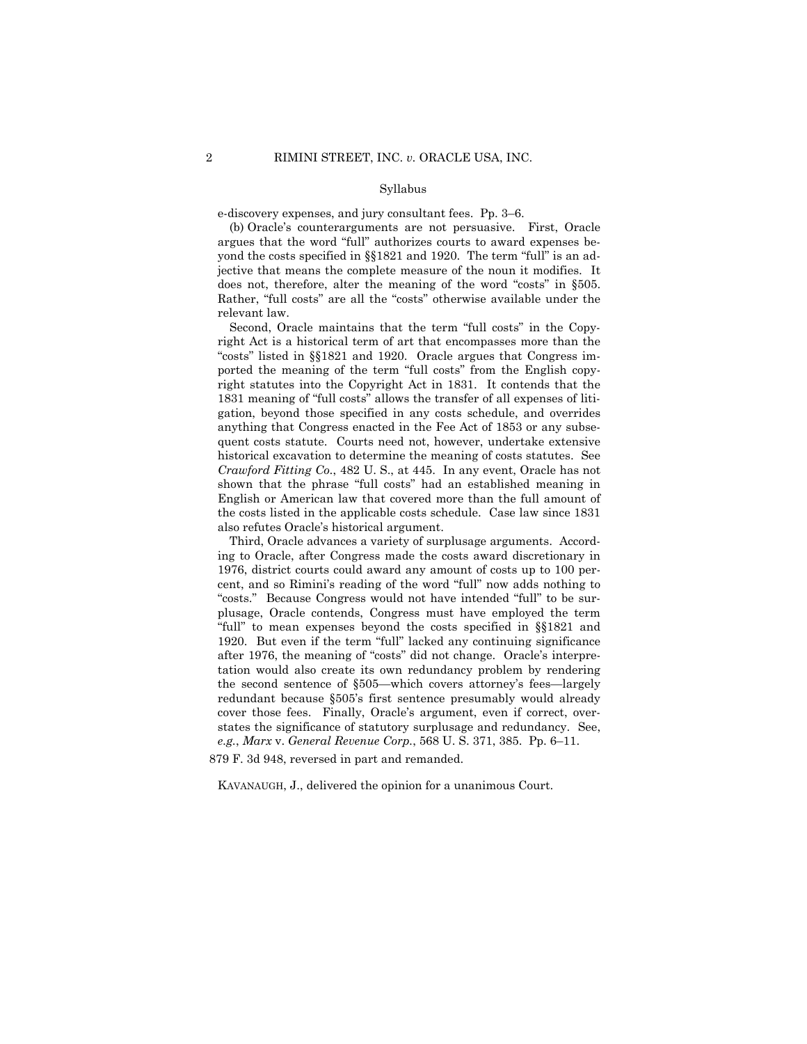#### Syllabus

e-discovery expenses, and jury consultant fees. Pp. 3–6.

(b) Oracle's counterarguments are not persuasive. First, Oracle argues that the word "full" authorizes courts to award expenses beyond the costs specified in §§1821 and 1920. The term "full" is an adjective that means the complete measure of the noun it modifies. It does not, therefore, alter the meaning of the word "costs" in §505. Rather, "full costs" are all the "costs" otherwise available under the relevant law.

Second, Oracle maintains that the term "full costs" in the Copyright Act is a historical term of art that encompasses more than the "costs" listed in §§1821 and 1920. Oracle argues that Congress imported the meaning of the term "full costs" from the English copyright statutes into the Copyright Act in 1831. It contends that the 1831 meaning of "full costs" allows the transfer of all expenses of litigation, beyond those specified in any costs schedule, and overrides anything that Congress enacted in the Fee Act of 1853 or any subsequent costs statute. Courts need not, however, undertake extensive historical excavation to determine the meaning of costs statutes. See *Crawford Fitting Co.*, 482 U. S., at 445. In any event, Oracle has not shown that the phrase "full costs" had an established meaning in English or American law that covered more than the full amount of the costs listed in the applicable costs schedule. Case law since 1831 also refutes Oracle's historical argument.

Third, Oracle advances a variety of surplusage arguments. According to Oracle, after Congress made the costs award discretionary in 1976, district courts could award any amount of costs up to 100 percent, and so Rimini's reading of the word "full" now adds nothing to "costs." Because Congress would not have intended "full" to be surplusage, Oracle contends, Congress must have employed the term "full" to mean expenses beyond the costs specified in §§1821 and 1920. But even if the term "full" lacked any continuing significance after 1976, the meaning of "costs" did not change. Oracle's interpretation would also create its own redundancy problem by rendering the second sentence of §505—which covers attorney's fees—largely redundant because §505's first sentence presumably would already cover those fees. Finally, Oracle's argument, even if correct, overstates the significance of statutory surplusage and redundancy. See, *e.g.*, *Marx* v. *General Revenue Corp.*, 568 U. S. 371, 385. Pp. 6–11.

879 F. 3d 948, reversed in part and remanded.

KAVANAUGH, J., delivered the opinion for a unanimous Court.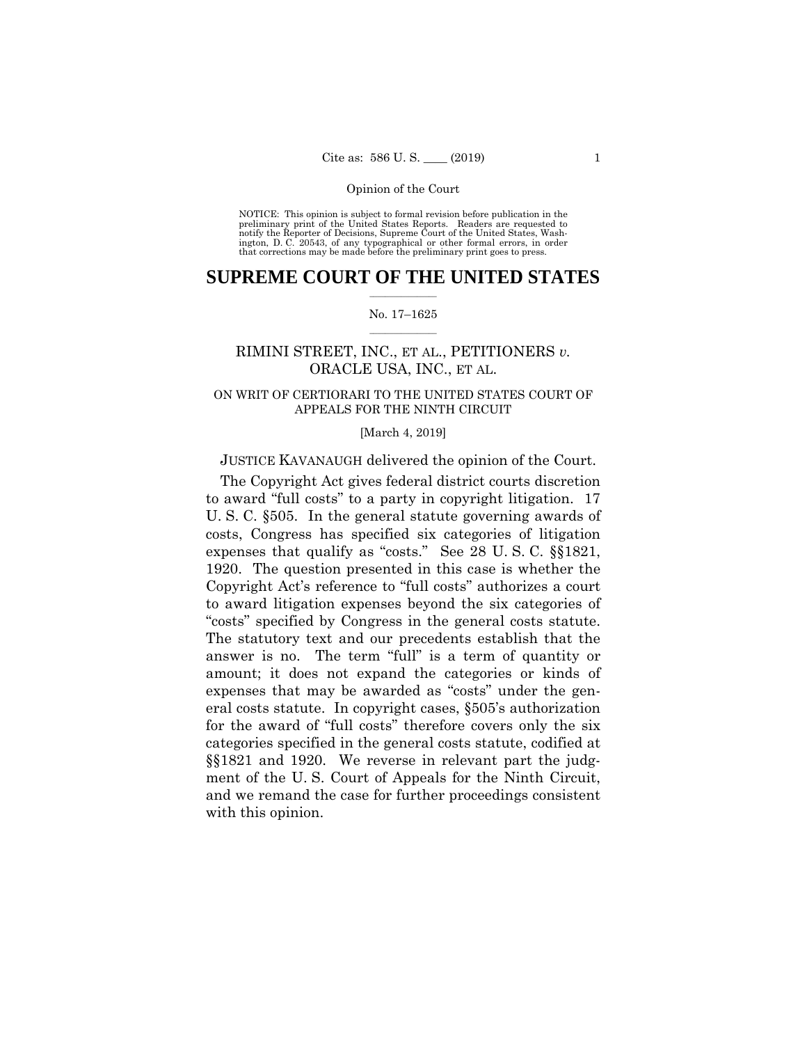preliminary print of the United States Reports. Readers are requested to notify the Reporter of Decisions, Supreme Court of the United States, Wash- ington, D. C. 20543, of any typographical or other formal errors, in order that corrections may be made before the preliminary print goes to press. NOTICE: This opinion is subject to formal revision before publication in the

## $\frac{1}{2}$  ,  $\frac{1}{2}$  ,  $\frac{1}{2}$  ,  $\frac{1}{2}$  ,  $\frac{1}{2}$  ,  $\frac{1}{2}$  ,  $\frac{1}{2}$ **SUPREME COURT OF THE UNITED STATES**

## $\frac{1}{2}$  ,  $\frac{1}{2}$  ,  $\frac{1}{2}$  ,  $\frac{1}{2}$  ,  $\frac{1}{2}$  ,  $\frac{1}{2}$ No. 17–1625

# RIMINI STREET, INC., ET AL., PETITIONERS *v.*  ORACLE USA, INC., ET AL.

## ON WRIT OF CERTIORARI TO THE UNITED STATES COURT OF APPEALS FOR THE NINTH CIRCUIT

## [March 4, 2019]

## JUSTICE KAVANAUGH delivered the opinion of the Court.

The Copyright Act gives federal district courts discretion to award "full costs" to a party in copyright litigation. 17 U. S. C. §505. In the general statute governing awards of costs, Congress has specified six categories of litigation expenses that qualify as "costs." See 28 U. S. C. §§1821, 1920. The question presented in this case is whether the Copyright Act's reference to "full costs" authorizes a court to award litigation expenses beyond the six categories of "costs" specified by Congress in the general costs statute. The statutory text and our precedents establish that the answer is no. The term "full" is a term of quantity or amount; it does not expand the categories or kinds of expenses that may be awarded as "costs" under the general costs statute. In copyright cases, §505's authorization for the award of "full costs" therefore covers only the six categories specified in the general costs statute, codified at §§1821 and 1920. We reverse in relevant part the judgment of the U. S. Court of Appeals for the Ninth Circuit, and we remand the case for further proceedings consistent with this opinion.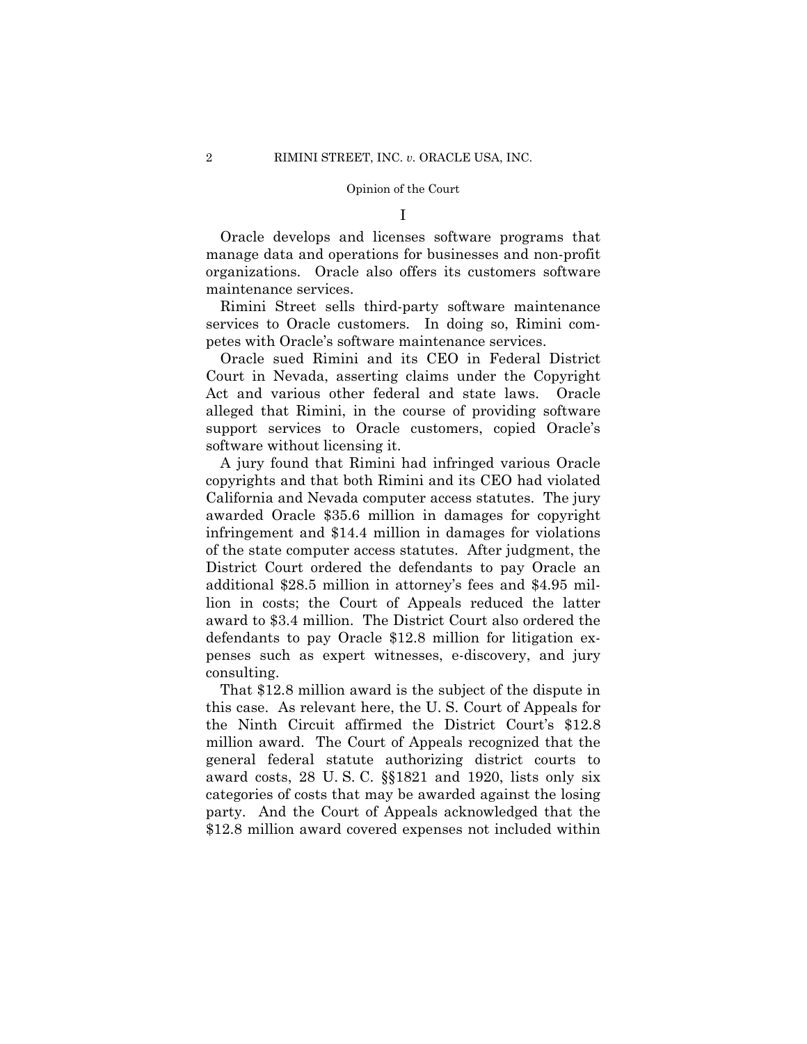I

Oracle develops and licenses software programs that manage data and operations for businesses and non-profit organizations. Oracle also offers its customers software maintenance services.

Rimini Street sells third-party software maintenance services to Oracle customers. In doing so, Rimini competes with Oracle's software maintenance services.

Oracle sued Rimini and its CEO in Federal District Court in Nevada, asserting claims under the Copyright Act and various other federal and state laws. Oracle alleged that Rimini, in the course of providing software support services to Oracle customers, copied Oracle's software without licensing it.

A jury found that Rimini had infringed various Oracle copyrights and that both Rimini and its CEO had violated California and Nevada computer access statutes. The jury awarded Oracle \$35.6 million in damages for copyright infringement and \$14.4 million in damages for violations of the state computer access statutes. After judgment, the District Court ordered the defendants to pay Oracle an additional \$28.5 million in attorney's fees and \$4.95 million in costs; the Court of Appeals reduced the latter award to \$3.4 million. The District Court also ordered the defendants to pay Oracle \$12.8 million for litigation expenses such as expert witnesses, e-discovery, and jury consulting.

That \$12.8 million award is the subject of the dispute in this case. As relevant here, the U. S. Court of Appeals for the Ninth Circuit affirmed the District Court's \$12.8 million award. The Court of Appeals recognized that the general federal statute authorizing district courts to award costs, 28 U. S. C. §§1821 and 1920, lists only six categories of costs that may be awarded against the losing party. And the Court of Appeals acknowledged that the \$12.8 million award covered expenses not included within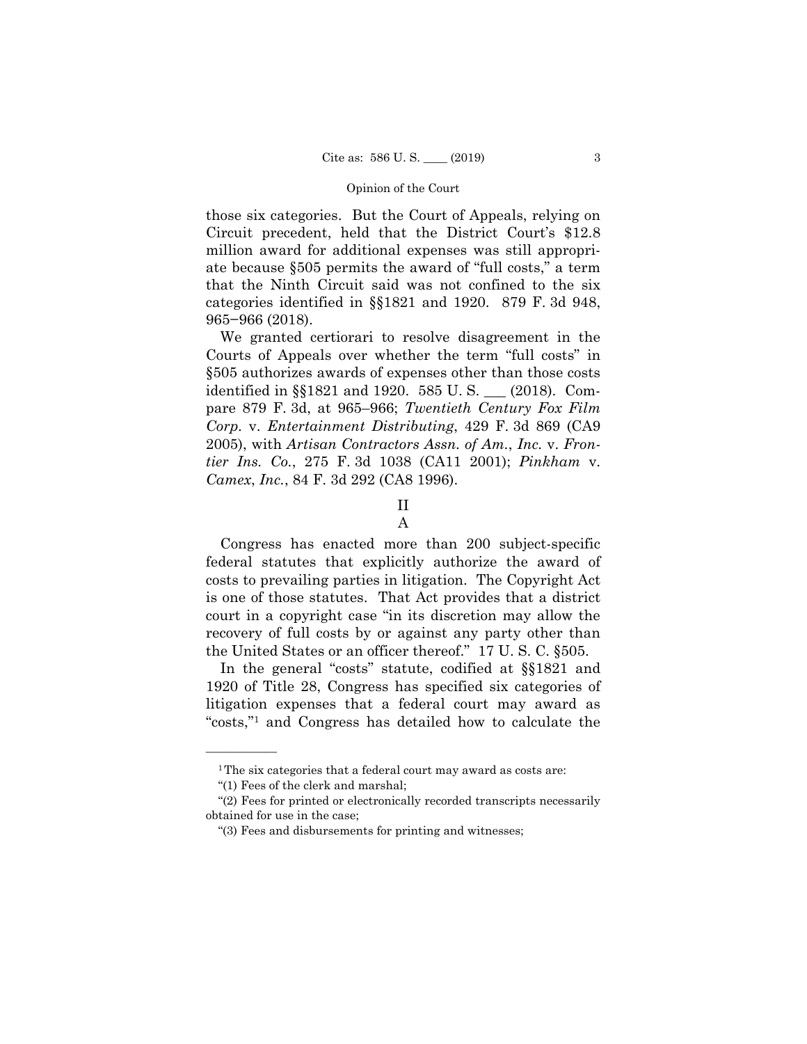those six categories. But the Court of Appeals, relying on Circuit precedent, held that the District Court's \$12.8 million award for additional expenses was still appropriate because §505 permits the award of "full costs," a term that the Ninth Circuit said was not confined to the six categories identified in §§1821 and 1920. 879 F. 3d 948, 965−966 (2018).

We granted certiorari to resolve disagreement in the Courts of Appeals over whether the term "full costs" in §505 authorizes awards of expenses other than those costs identified in §§1821 and 1920. 585 U. S. \_\_\_ (2018). Compare 879 F. 3d, at 965–966; *Twentieth Century Fox Film Corp.* v. *Entertainment Distributing*, 429 F. 3d 869 (CA9 2005), with *Artisan Contractors Assn. of Am.*, *Inc.* v. *Frontier Ins. Co.*, 275 F. 3d 1038 (CA11 2001); *Pinkham* v. *Camex*, *Inc.*, 84 F. 3d 292 (CA8 1996).

# II

Congress has enacted more than 200 subject-specific federal statutes that explicitly authorize the award of costs to prevailing parties in litigation. The Copyright Act is one of those statutes. That Act provides that a district court in a copyright case "in its discretion may allow the recovery of full costs by or against any party other than the United States or an officer thereof." 17 U. S. C. §505.

In the general "costs" statute, codified at §§1821 and 1920 of Title 28, Congress has specified six categories of litigation expenses that a federal court may award as "costs,"1 and Congress has detailed how to calculate the

A

<sup>&</sup>lt;sup>1</sup>The six categories that a federal court may award as costs are:

<sup>&</sup>quot;(1) Fees of the clerk and marshal;

<sup>&</sup>quot;(2) Fees for printed or electronically recorded transcripts necessarily obtained for use in the case;

<sup>&</sup>quot;(3) Fees and disbursements for printing and witnesses;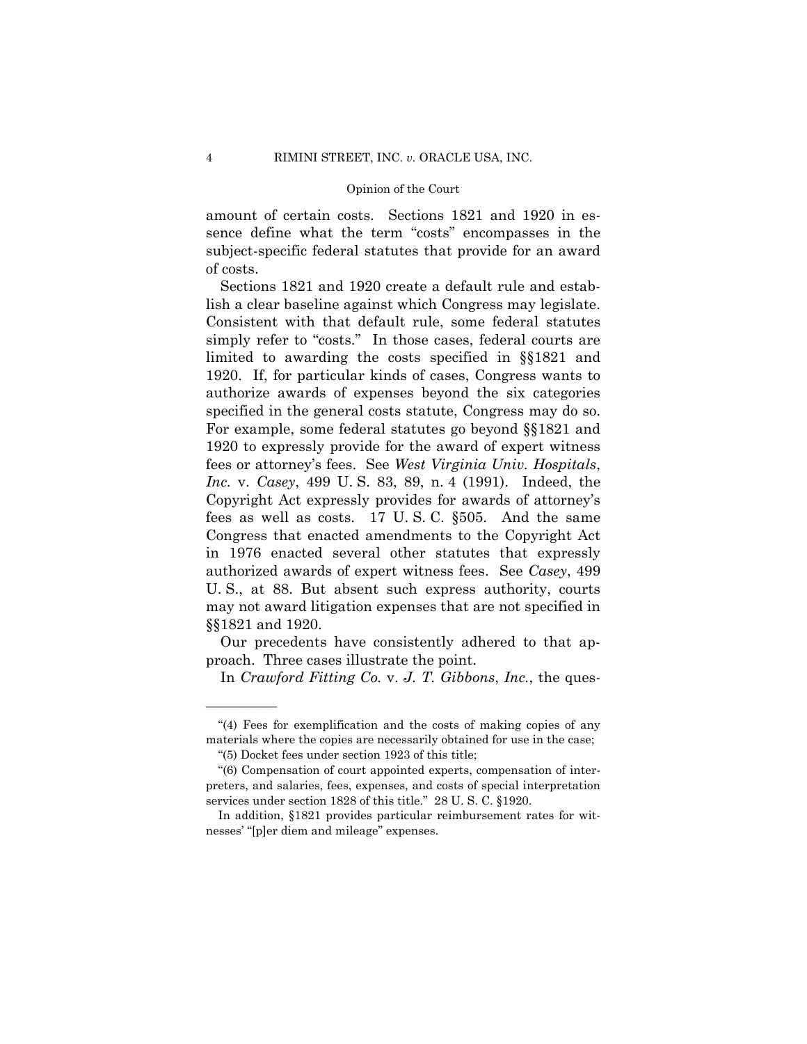amount of certain costs. Sections 1821 and 1920 in essence define what the term "costs" encompasses in the subject-specific federal statutes that provide for an award of costs.

Sections 1821 and 1920 create a default rule and establish a clear baseline against which Congress may legislate. Consistent with that default rule, some federal statutes simply refer to "costs." In those cases, federal courts are limited to awarding the costs specified in §§1821 and 1920. If, for particular kinds of cases, Congress wants to authorize awards of expenses beyond the six categories specified in the general costs statute, Congress may do so. For example, some federal statutes go beyond §§1821 and 1920 to expressly provide for the award of expert witness fees or attorney's fees. See *West Virginia Univ. Hospitals*, *Inc.* v. *Casey*, 499 U. S. 83, 89, n. 4 (1991). Indeed, the Copyright Act expressly provides for awards of attorney's fees as well as costs. 17 U. S. C. §505. And the same Congress that enacted amendments to the Copyright Act in 1976 enacted several other statutes that expressly authorized awards of expert witness fees. See *Casey*, 499 U. S., at 88. But absent such express authority, courts may not award litigation expenses that are not specified in §§1821 and 1920.

Our precedents have consistently adhered to that approach. Three cases illustrate the point.

In *Crawford Fitting Co.* v. *J. T. Gibbons*, *Inc.*, the ques-

<sup>&</sup>quot;(4) Fees for exemplification and the costs of making copies of any materials where the copies are necessarily obtained for use in the case;

<sup>&</sup>quot;(5) Docket fees under section 1923 of this title;

<sup>&</sup>quot;(6) Compensation of court appointed experts, compensation of interpreters, and salaries, fees, expenses, and costs of special interpretation services under section 1828 of this title." 28 U. S. C. §1920.

In addition, §1821 provides particular reimbursement rates for witnesses' "[p]er diem and mileage" expenses.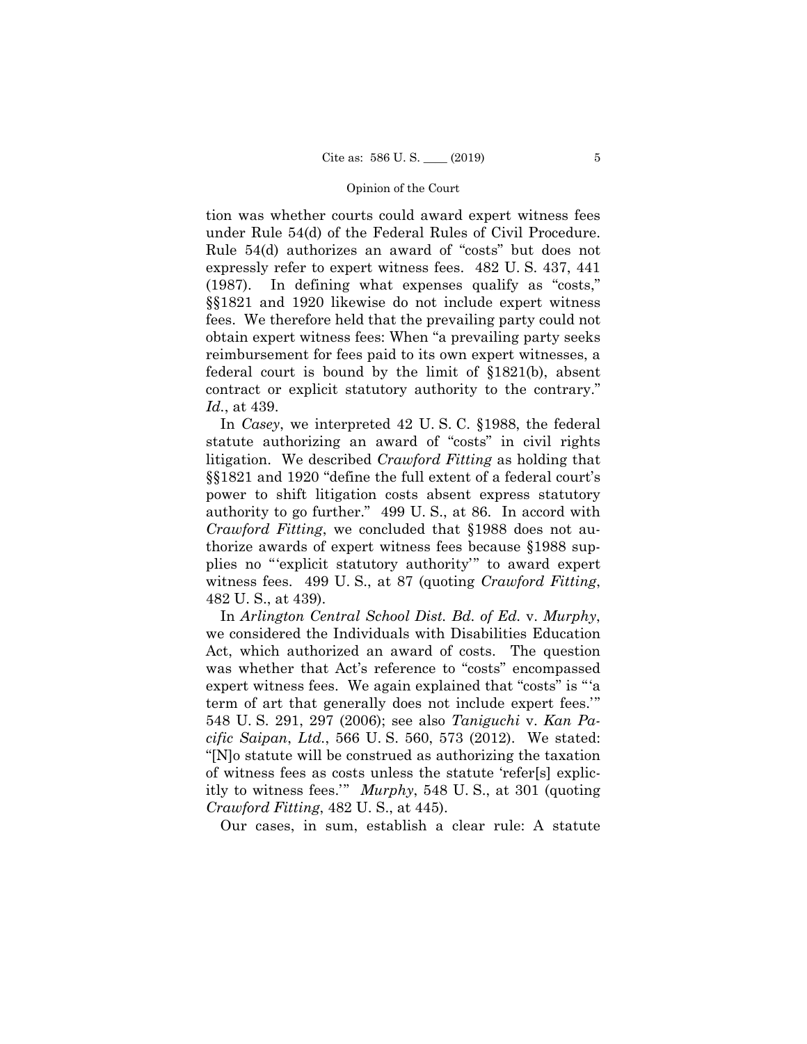tion was whether courts could award expert witness fees under Rule 54(d) of the Federal Rules of Civil Procedure. Rule 54(d) authorizes an award of "costs" but does not expressly refer to expert witness fees. 482 U. S. 437, 441 (1987). In defining what expenses qualify as "costs," §§1821 and 1920 likewise do not include expert witness fees. We therefore held that the prevailing party could not obtain expert witness fees: When "a prevailing party seeks reimbursement for fees paid to its own expert witnesses, a federal court is bound by the limit of §1821(b), absent contract or explicit statutory authority to the contrary." *Id.*, at 439.

In *Casey*, we interpreted 42 U. S. C. §1988, the federal statute authorizing an award of "costs" in civil rights litigation. We described *Crawford Fitting* as holding that §§1821 and 1920 "define the full extent of a federal court's power to shift litigation costs absent express statutory authority to go further." 499 U. S., at 86. In accord with *Crawford Fitting*, we concluded that §1988 does not authorize awards of expert witness fees because §1988 supplies no "'explicit statutory authority'" to award expert witness fees. 499 U. S., at 87 (quoting *Crawford Fitting*, 482 U. S., at 439).

In *Arlington Central School Dist. Bd. of Ed.* v. *Murphy*, we considered the Individuals with Disabilities Education Act, which authorized an award of costs. The question was whether that Act's reference to "costs" encompassed expert witness fees. We again explained that "costs" is "'a term of art that generally does not include expert fees.'" 548 U. S. 291, 297 (2006); see also *Taniguchi* v. *Kan Pacific Saipan*, *Ltd.*, 566 U. S. 560, 573 (2012). We stated: "[N]o statute will be construed as authorizing the taxation of witness fees as costs unless the statute 'refer[s] explicitly to witness fees.'" *Murphy*, 548 U. S., at 301 (quoting *Crawford Fitting*, 482 U. S., at 445).

Our cases, in sum, establish a clear rule: A statute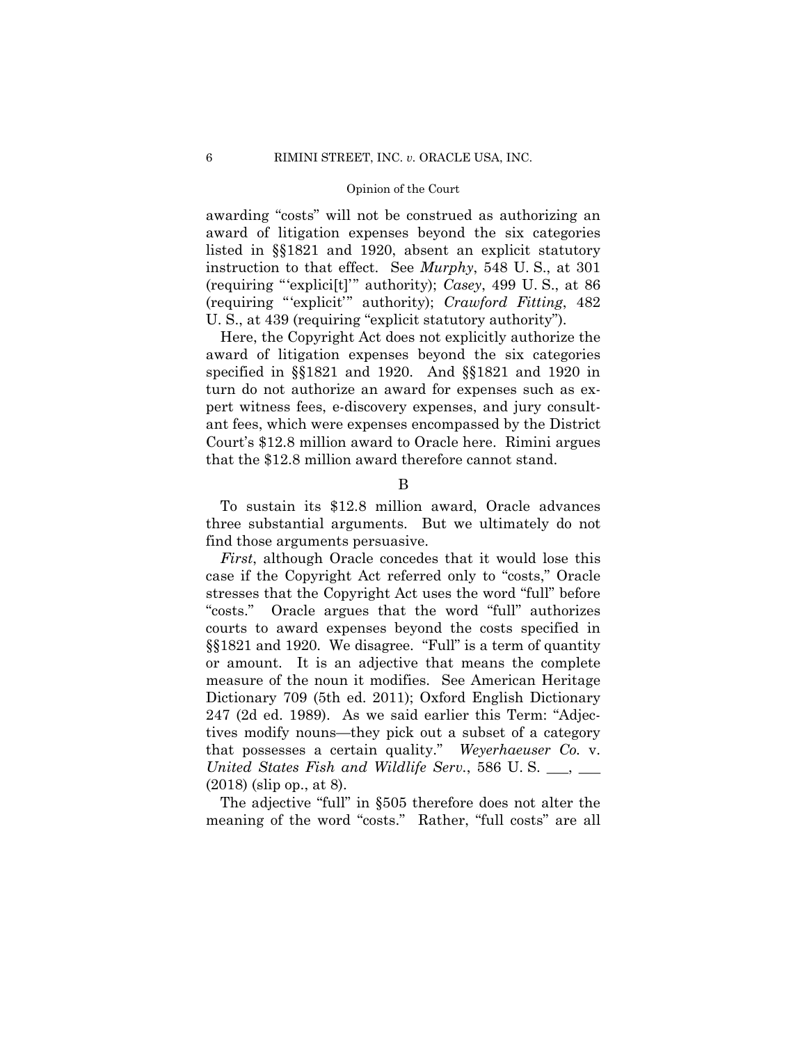awarding "costs" will not be construed as authorizing an award of litigation expenses beyond the six categories listed in §§1821 and 1920, absent an explicit statutory instruction to that effect. See *Murphy*, 548 U. S., at 301 (requiring "'explici[t]'" authority); *Casey*, 499 U. S., at 86 (requiring "'explicit'" authority); *Crawford Fitting*, 482 U. S., at 439 (requiring "explicit statutory authority").

Here, the Copyright Act does not explicitly authorize the award of litigation expenses beyond the six categories specified in §§1821 and 1920. And §§1821 and 1920 in turn do not authorize an award for expenses such as expert witness fees, e-discovery expenses, and jury consultant fees, which were expenses encompassed by the District Court's \$12.8 million award to Oracle here. Rimini argues that the \$12.8 million award therefore cannot stand.

To sustain its \$12.8 million award, Oracle advances three substantial arguments. But we ultimately do not find those arguments persuasive.

 *First*, although Oracle concedes that it would lose this case if the Copyright Act referred only to "costs," Oracle stresses that the Copyright Act uses the word "full" before "costs." Oracle argues that the word "full" authorizes courts to award expenses beyond the costs specified in §§1821 and 1920. We disagree. "Full" is a term of quantity or amount. It is an adjective that means the complete measure of the noun it modifies. See American Heritage Dictionary 709 (5th ed. 2011); Oxford English Dictionary 247 (2d ed. 1989). As we said earlier this Term: "Adjectives modify nouns—they pick out a subset of a category that possesses a certain quality." *Weyerhaeuser Co.* v. *United States Fish and Wildlife Serv.*, 586 U. S. \_\_\_, \_\_\_ (2018) (slip op., at 8).

The adjective "full" in §505 therefore does not alter the meaning of the word "costs." Rather, "full costs" are all

B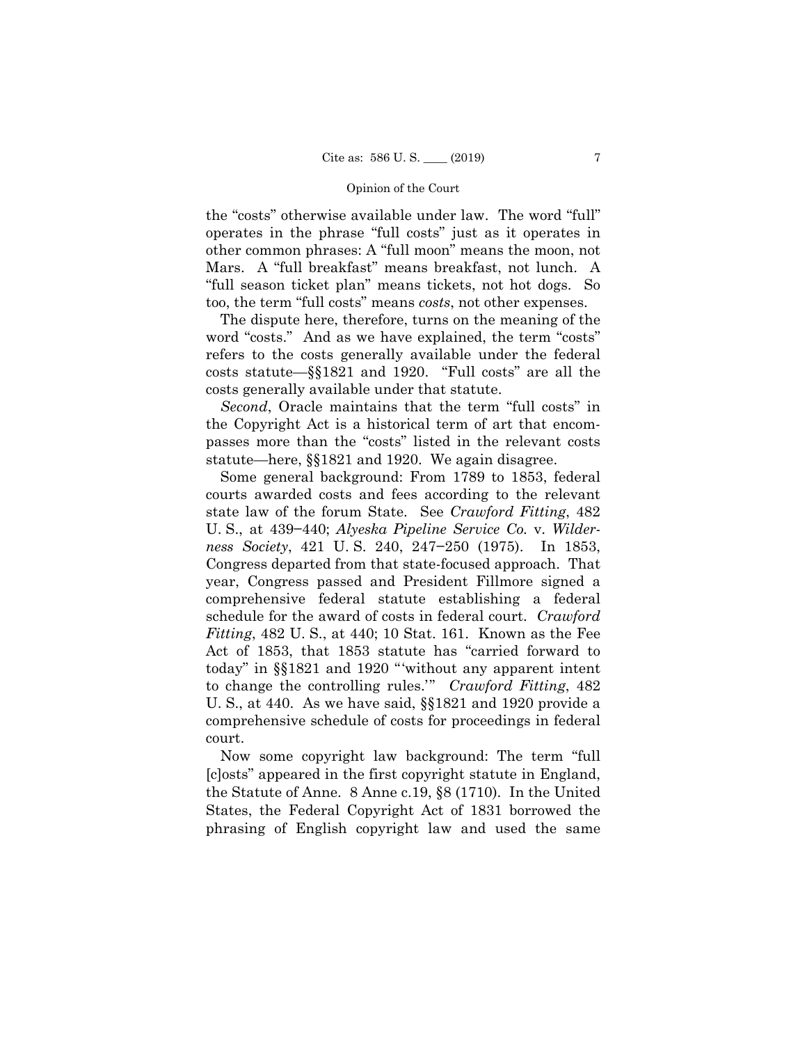the "costs" otherwise available under law. The word "full" operates in the phrase "full costs" just as it operates in other common phrases: A "full moon" means the moon, not Mars. A "full breakfast" means breakfast, not lunch. A "full season ticket plan" means tickets, not hot dogs. So too, the term "full costs" means *costs*, not other expenses.

The dispute here, therefore, turns on the meaning of the word "costs." And as we have explained, the term "costs" refers to the costs generally available under the federal costs statute—§§1821 and 1920. "Full costs" are all the costs generally available under that statute.

*Second*, Oracle maintains that the term "full costs" in the Copyright Act is a historical term of art that encompasses more than the "costs" listed in the relevant costs statute—here, §§1821 and 1920. We again disagree.

Some general background: From 1789 to 1853, federal courts awarded costs and fees according to the relevant state law of the forum State. See *Crawford Fitting*, 482 U. S., at 439−440; *Alyeska Pipeline Service Co.* v. *Wilderness Society*, 421 U. S. 240, 247−250 (1975). In 1853, Congress departed from that state-focused approach. That year, Congress passed and President Fillmore signed a comprehensive federal statute establishing a federal schedule for the award of costs in federal court. *Crawford Fitting*, 482 U. S., at 440; 10 Stat. 161. Known as the Fee Act of 1853, that 1853 statute has "carried forward to today" in §§1821 and 1920 "'without any apparent intent to change the controlling rules.'" *Crawford Fitting*, 482 U. S., at 440. As we have said, §§1821 and 1920 provide a comprehensive schedule of costs for proceedings in federal court.

Now some copyright law background: The term "full [c]osts" appeared in the first copyright statute in England, the Statute of Anne. 8 Anne c.19, §8 (1710). In the United States, the Federal Copyright Act of 1831 borrowed the phrasing of English copyright law and used the same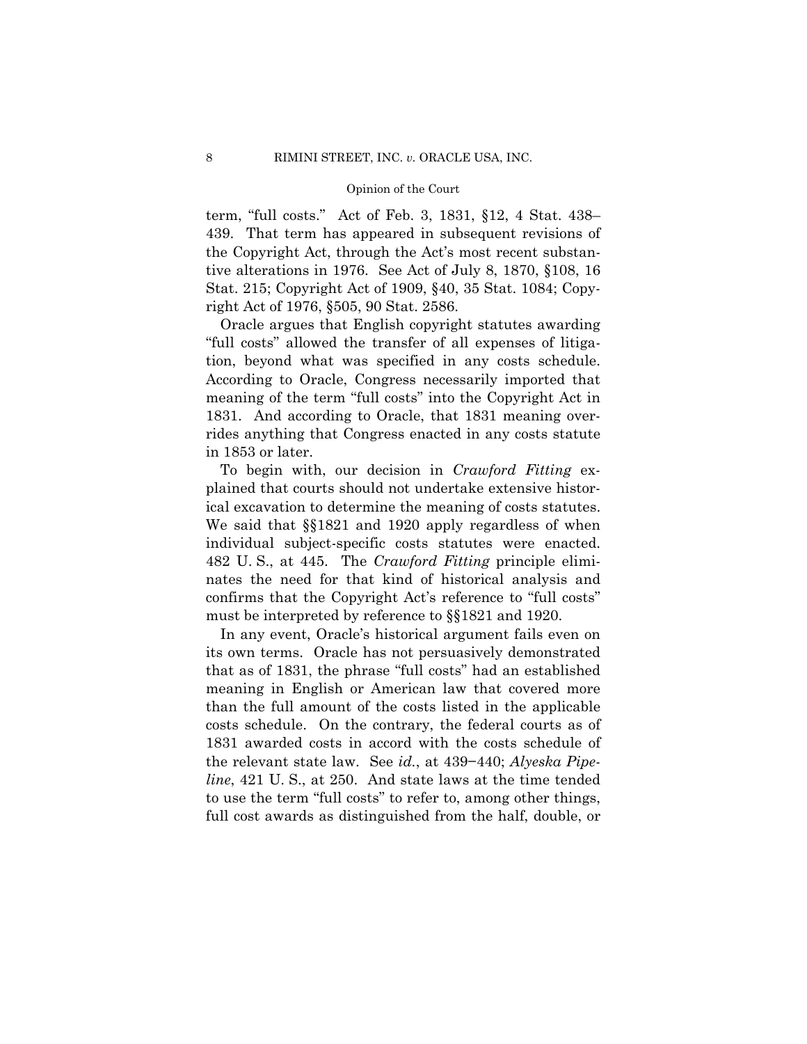term, "full costs." Act of Feb. 3, 1831, §12, 4 Stat. 438– 439. That term has appeared in subsequent revisions of the Copyright Act, through the Act's most recent substantive alterations in 1976. See Act of July 8, 1870, §108, 16 Stat. 215; Copyright Act of 1909, §40, 35 Stat. 1084; Copyright Act of 1976, §505, 90 Stat. 2586.

Oracle argues that English copyright statutes awarding "full costs" allowed the transfer of all expenses of litigation, beyond what was specified in any costs schedule. According to Oracle, Congress necessarily imported that meaning of the term "full costs" into the Copyright Act in 1831. And according to Oracle, that 1831 meaning overrides anything that Congress enacted in any costs statute in 1853 or later.

 individual subject-specific costs statutes were enacted. 482 U. S., at 445. The *Crawford Fitting* principle elimi-To begin with, our decision in *Crawford Fitting* explained that courts should not undertake extensive historical excavation to determine the meaning of costs statutes. We said that §§1821 and 1920 apply regardless of when nates the need for that kind of historical analysis and confirms that the Copyright Act's reference to "full costs" must be interpreted by reference to §§1821 and 1920.

In any event, Oracle's historical argument fails even on its own terms. Oracle has not persuasively demonstrated that as of 1831, the phrase "full costs" had an established meaning in English or American law that covered more than the full amount of the costs listed in the applicable costs schedule. On the contrary, the federal courts as of 1831 awarded costs in accord with the costs schedule of the relevant state law. See *id.*, at 439−440; *Alyeska Pipeline*, 421 U. S., at 250. And state laws at the time tended to use the term "full costs" to refer to, among other things, full cost awards as distinguished from the half, double, or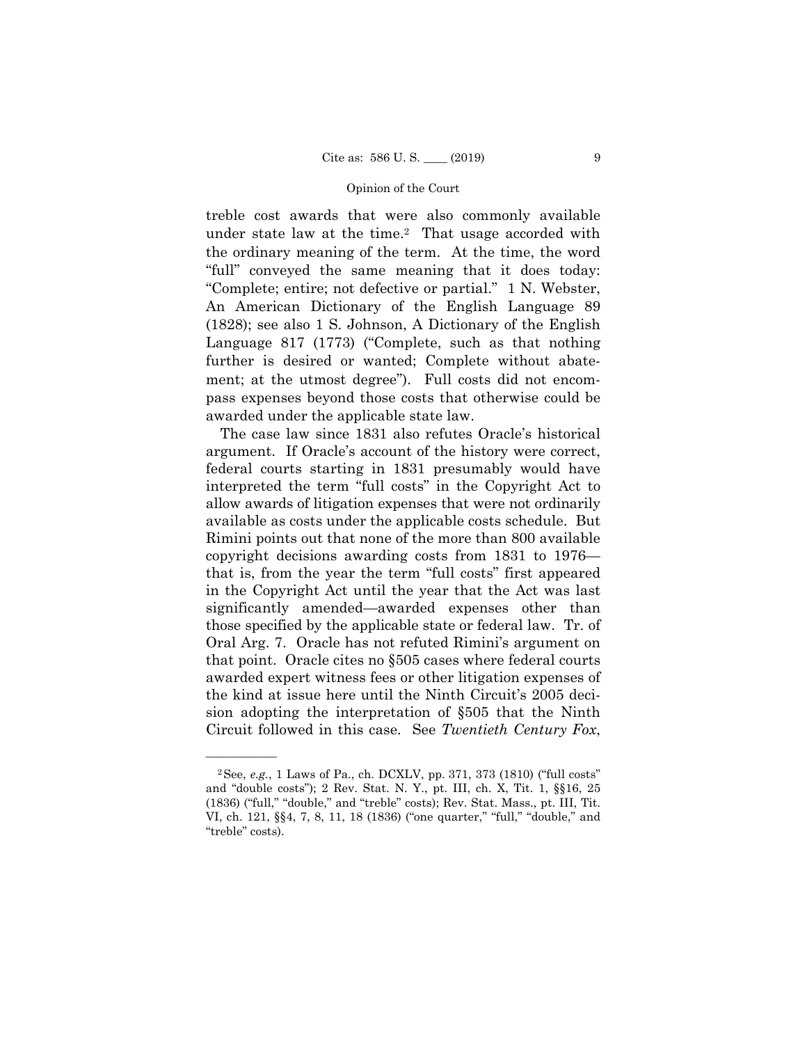treble cost awards that were also commonly available under state law at the time.<sup>2</sup> That usage accorded with the ordinary meaning of the term. At the time, the word "full" conveyed the same meaning that it does today: "Complete; entire; not defective or partial." 1 N. Webster, An American Dictionary of the English Language 89 (1828); see also 1 S. Johnson, A Dictionary of the English Language 817 (1773) ("Complete, such as that nothing further is desired or wanted; Complete without abatement; at the utmost degree"). Full costs did not encompass expenses beyond those costs that otherwise could be awarded under the applicable state law.

 allow awards of litigation expenses that were not ordinarily those specified by the applicable state or federal law. Tr. of The case law since 1831 also refutes Oracle's historical argument. If Oracle's account of the history were correct, federal courts starting in 1831 presumably would have interpreted the term "full costs" in the Copyright Act to available as costs under the applicable costs schedule. But Rimini points out that none of the more than 800 available copyright decisions awarding costs from 1831 to 1976 that is, from the year the term "full costs" first appeared in the Copyright Act until the year that the Act was last significantly amended—awarded expenses other than Oral Arg. 7. Oracle has not refuted Rimini's argument on that point. Oracle cites no §505 cases where federal courts awarded expert witness fees or other litigation expenses of the kind at issue here until the Ninth Circuit's 2005 decision adopting the interpretation of §505 that the Ninth Circuit followed in this case. See *Twentieth Century Fox*,

<sup>2</sup>See, *e.g.*, 1 Laws of Pa., ch. DCXLV, pp. 371, 373 (1810) ("full costs" and "double costs"); 2 Rev. Stat. N. Y., pt. III, ch. X, Tit. 1, §§16, 25 (1836) ("full," "double," and "treble" costs); Rev. Stat. Mass., pt. III, Tit. VI, ch. 121, §§4, 7, 8, 11, 18 (1836) ("one quarter," "full," "double," and "treble" costs).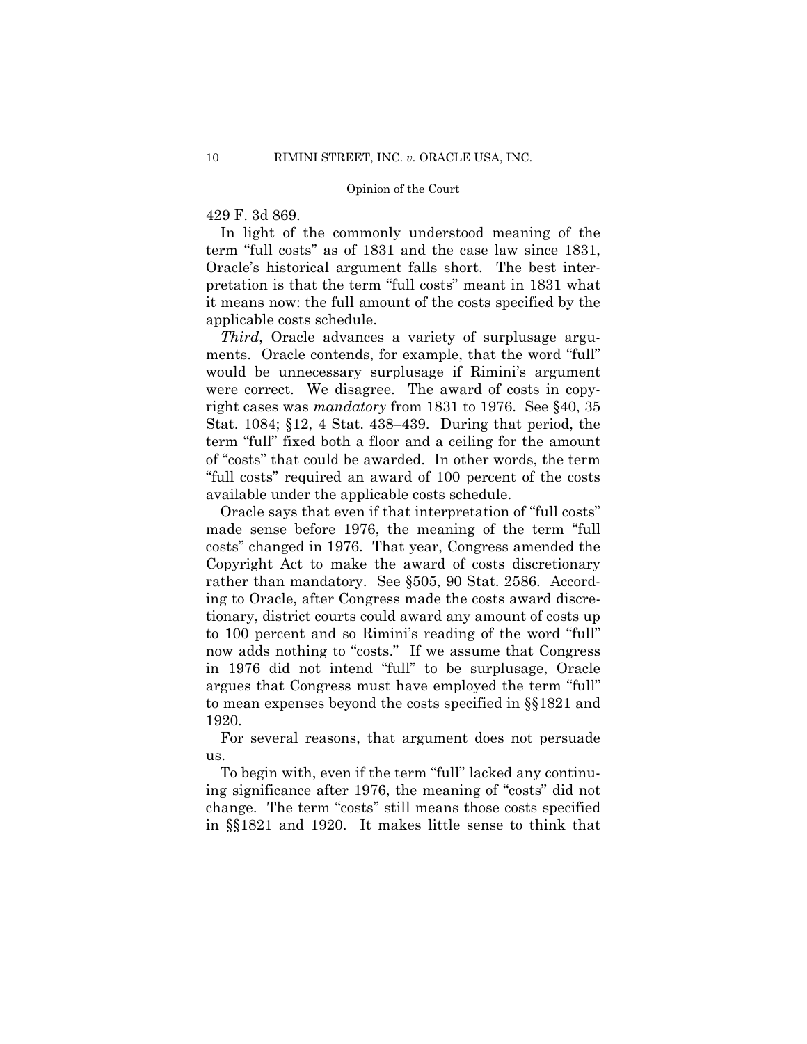## 429 F. 3d 869.

In light of the commonly understood meaning of the term "full costs" as of 1831 and the case law since 1831, Oracle's historical argument falls short. The best interpretation is that the term "full costs" meant in 1831 what it means now: the full amount of the costs specified by the applicable costs schedule.

 *Third*, Oracle advances a variety of surplusage arguments. Oracle contends, for example, that the word "full" would be unnecessary surplusage if Rimini's argument were correct. We disagree. The award of costs in copyright cases was *mandatory* from 1831 to 1976. See §40, 35 Stat. 1084; §12, 4 Stat. 438–439. During that period, the term "full" fixed both a floor and a ceiling for the amount of "costs" that could be awarded. In other words, the term "full costs" required an award of 100 percent of the costs available under the applicable costs schedule.

Oracle says that even if that interpretation of "full costs" made sense before 1976, the meaning of the term "full costs" changed in 1976. That year, Congress amended the Copyright Act to make the award of costs discretionary rather than mandatory. See §505, 90 Stat. 2586. According to Oracle, after Congress made the costs award discretionary, district courts could award any amount of costs up to 100 percent and so Rimini's reading of the word "full" now adds nothing to "costs." If we assume that Congress in 1976 did not intend "full" to be surplusage, Oracle argues that Congress must have employed the term "full" to mean expenses beyond the costs specified in §§1821 and 1920.

For several reasons, that argument does not persuade us.

To begin with, even if the term "full" lacked any continuing significance after 1976, the meaning of "costs" did not change. The term "costs" still means those costs specified in §§1821 and 1920. It makes little sense to think that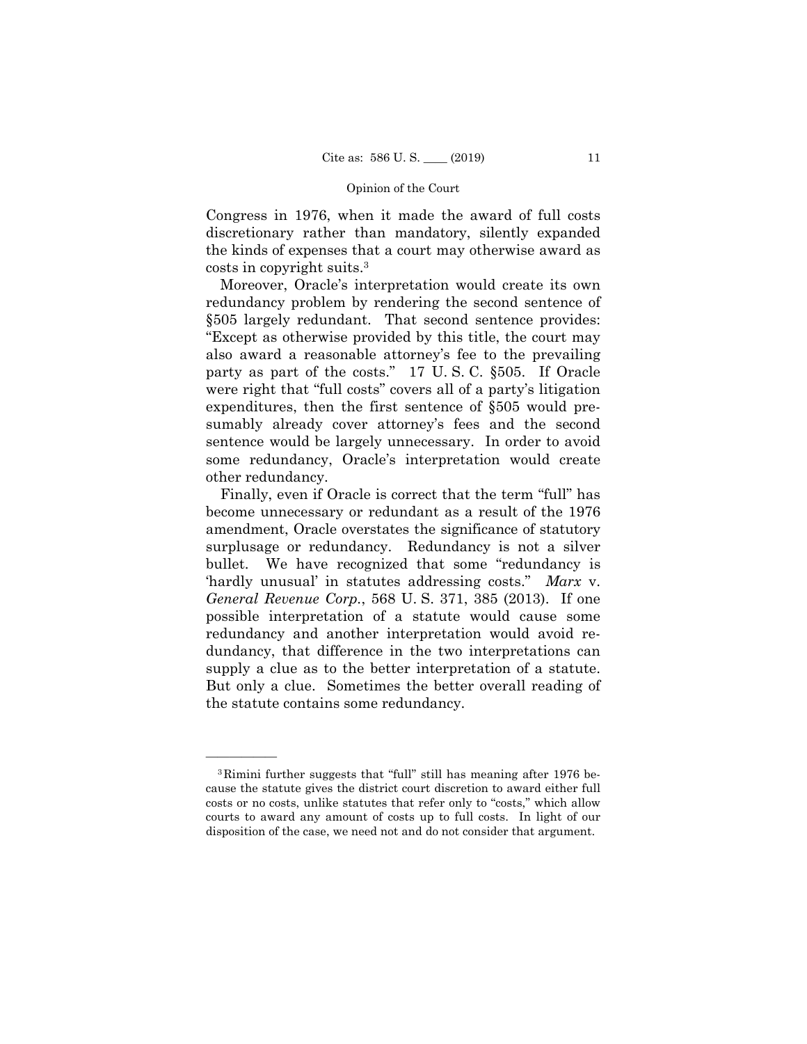discretionary rather than mandatory, silently expanded the kinds of expenses that a court may otherwise award as Congress in 1976, when it made the award of full costs costs in copyright suits.3

Moreover, Oracle's interpretation would create its own redundancy problem by rendering the second sentence of §505 largely redundant. That second sentence provides: "Except as otherwise provided by this title, the court may also award a reasonable attorney's fee to the prevailing party as part of the costs." 17 U. S. C. §505. If Oracle were right that "full costs" covers all of a party's litigation expenditures, then the first sentence of §505 would presumably already cover attorney's fees and the second sentence would be largely unnecessary. In order to avoid some redundancy, Oracle's interpretation would create other redundancy.

Finally, even if Oracle is correct that the term "full" has become unnecessary or redundant as a result of the 1976 amendment, Oracle overstates the significance of statutory surplusage or redundancy. Redundancy is not a silver bullet. We have recognized that some "redundancy is 'hardly unusual' in statutes addressing costs." *Marx* v. *General Revenue Corp.*, 568 U. S. 371, 385 (2013). If one possible interpretation of a statute would cause some redundancy and another interpretation would avoid redundancy, that difference in the two interpretations can supply a clue as to the better interpretation of a statute. But only a clue. Sometimes the better overall reading of the statute contains some redundancy.

<sup>3</sup>Rimini further suggests that "full" still has meaning after 1976 because the statute gives the district court discretion to award either full costs or no costs, unlike statutes that refer only to "costs," which allow courts to award any amount of costs up to full costs. In light of our disposition of the case, we need not and do not consider that argument.